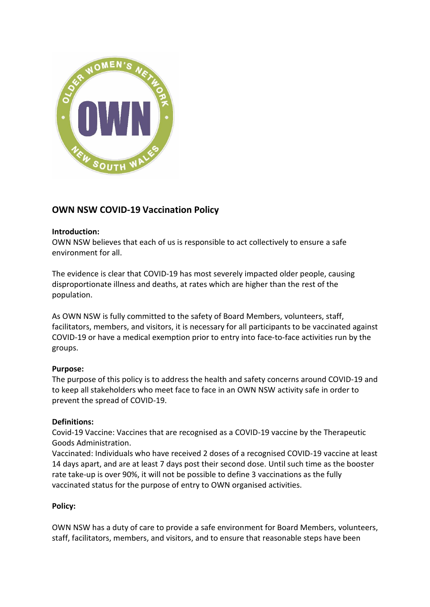

# **OWN NSW COVID-19 Vaccination Policy**

### **Introduction:**

OWN NSW believes that each of us is responsible to act collectively to ensure a safe environment for all.

The evidence is clear that COVID-19 has most severely impacted older people, causing disproportionate illness and deaths, at rates which are higher than the rest of the population.

As OWN NSW is fully committed to the safety of Board Members, volunteers, staff, facilitators, members, and visitors, it is necessary for all participants to be vaccinated against COVID-19 or have a medical exemption prior to entry into face-to-face activities run by the groups.

### **Purpose:**

The purpose of this policy is to address the health and safety concerns around COVID-19 and to keep all stakeholders who meet face to face in an OWN NSW activity safe in order to prevent the spread of COVID-19.

### **Definitions:**

Covid-19 Vaccine: Vaccines that are recognised as a COVID-19 vaccine by the Therapeutic Goods Administration.

Vaccinated: Individuals who have received 2 doses of a recognised COVID-19 vaccine at least 14 days apart, and are at least 7 days post their second dose. Until such time as the booster rate take-up is over 90%, it will not be possible to define 3 vaccinations as the fully vaccinated status for the purpose of entry to OWN organised activities.

### **Policy:**

OWN NSW has a duty of care to provide a safe environment for Board Members, volunteers, staff, facilitators, members, and visitors, and to ensure that reasonable steps have been